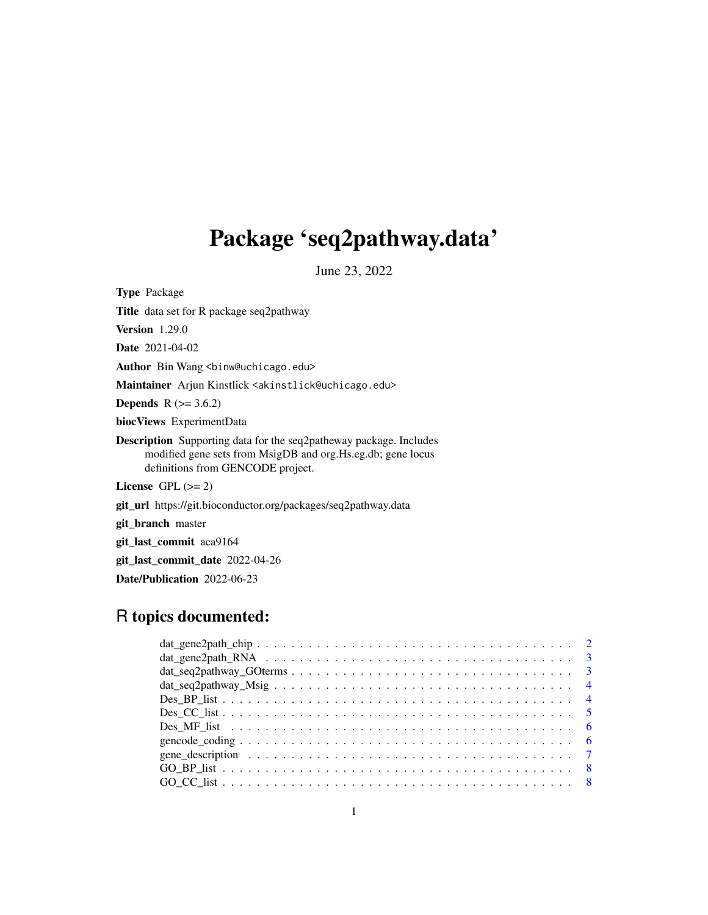# Package 'seq2pathway.data'

June 23, 2022

Type Package Title data set for R package seq2pathway Version 1.29.0 Date 2021-04-02 Author Bin Wang <br/>binw@uchicago.edu> Maintainer Arjun Kinstlick <akinstlick@uchicago.edu> **Depends**  $R$  ( $>= 3.6.2$ ) biocViews ExperimentData Description Supporting data for the seq2patheway package. Includes modified gene sets from MsigDB and org.Hs.eg.db; gene locus definitions from GENCODE project. License GPL  $(>= 2)$ git\_url https://git.bioconductor.org/packages/seq2pathway.data git\_branch master git\_last\_commit aea9164 git\_last\_commit\_date 2022-04-26

Date/Publication 2022-06-23

# R topics documented:

| $dat\_seq2pathway_GO terms \dots \dots \dots \dots \dots \dots \dots \dots \dots \dots \dots \dots \dots \dots \dots \dots$ |  |
|-----------------------------------------------------------------------------------------------------------------------------|--|
|                                                                                                                             |  |
|                                                                                                                             |  |
|                                                                                                                             |  |
|                                                                                                                             |  |
|                                                                                                                             |  |
| gene_description $\ldots \ldots \ldots \ldots \ldots \ldots \ldots \ldots \ldots \ldots \ldots \ldots \ldots$               |  |
|                                                                                                                             |  |
|                                                                                                                             |  |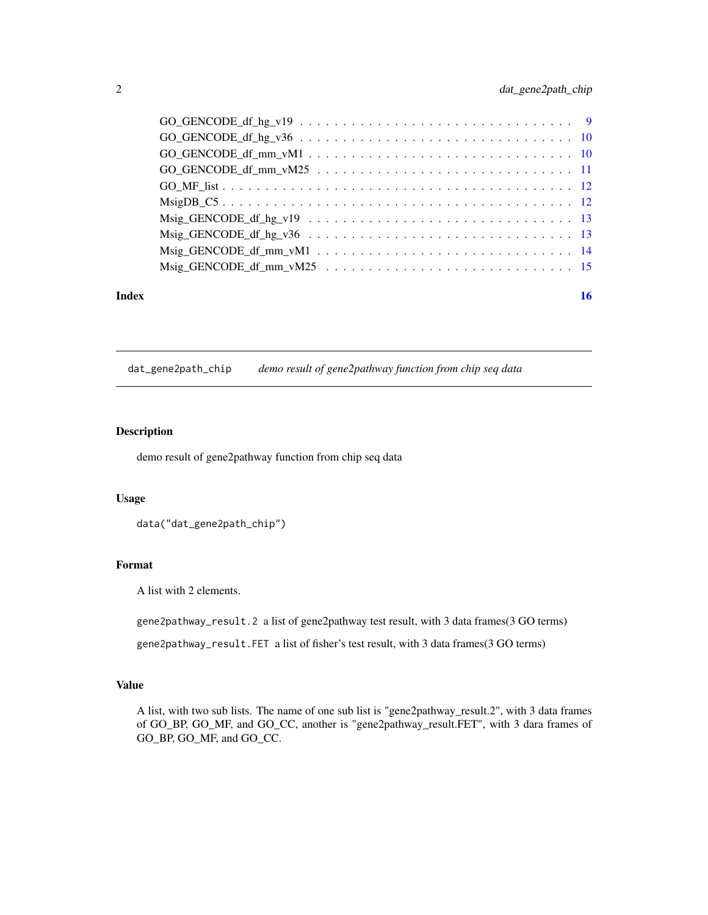<span id="page-1-0"></span>

| $GO_GENDCE_df_hg_v36 \ldots \ldots \ldots \ldots \ldots \ldots \ldots \ldots \ldots \ldots \ldots 10$                                                                                                                         |
|-------------------------------------------------------------------------------------------------------------------------------------------------------------------------------------------------------------------------------|
|                                                                                                                                                                                                                               |
|                                                                                                                                                                                                                               |
|                                                                                                                                                                                                                               |
|                                                                                                                                                                                                                               |
|                                                                                                                                                                                                                               |
| Msig_GENCODE_df_hg_v36 $\dots \dots \dots \dots \dots \dots \dots \dots \dots \dots \dots \dots \dots \dots \dots$                                                                                                            |
|                                                                                                                                                                                                                               |
| Msig_GENCODE_df_mm_vM25 \cdot \cdot \cdot \cdot \cdot \cdot \cdot \cdot \cdot \cdot \cdot \cdot \cdot \cdot \cdot \cdot \cdot \cdot \cdot \cdot \cdot \cdot \cdot \cdot \cdot \cdot \cdot \cdot \cdot \cdot \cdot \cdot \cdot |
|                                                                                                                                                                                                                               |

#### **Index** and the contract of the contract of the contract of the contract of the contract of the contract of the contract of the contract of the contract of the contract of the contract of the contract of the contract of th

dat\_gene2path\_chip *demo result of gene2pathway function from chip seq data*

# **Description**

demo result of gene2pathway function from chip seq data

## Usage

```
data("dat_gene2path_chip")
```
# Format

A list with 2 elements.

gene2pathway\_result.2 a list of gene2pathway test result, with 3 data frames(3 GO terms)

gene2pathway\_result.FET a list of fisher's test result, with 3 data frames(3 GO terms)

#### Value

A list, with two sub lists. The name of one sub list is "gene2pathway\_result.2", with 3 data frames of GO\_BP, GO\_MF, and GO\_CC, another is "gene2pathway\_result.FET", with 3 dara frames of GO\_BP, GO\_MF, and GO\_CC.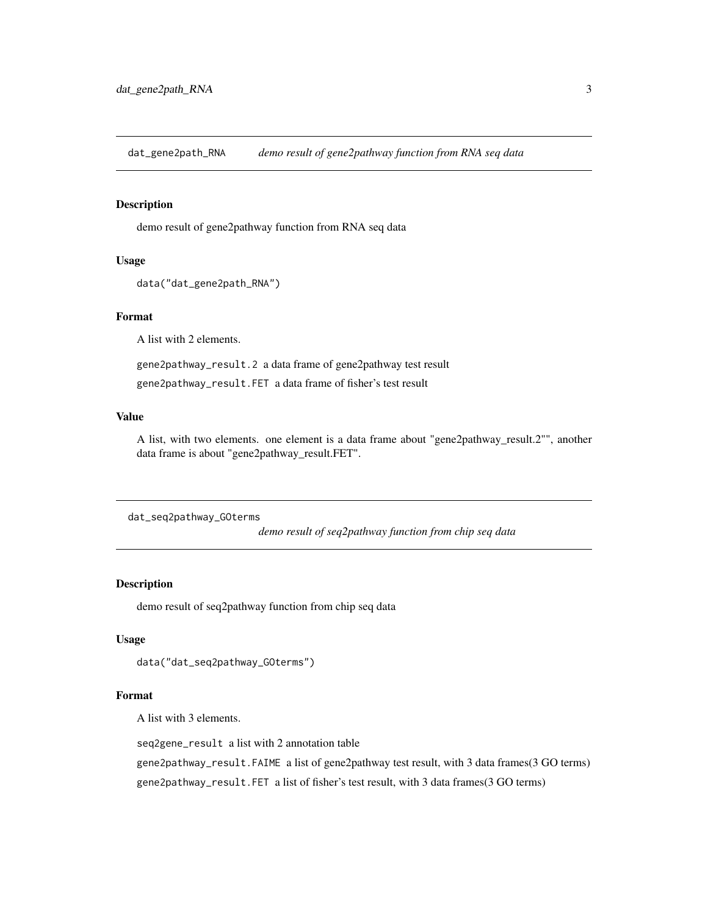<span id="page-2-0"></span>dat\_gene2path\_RNA *demo result of gene2pathway function from RNA seq data*

# Description

demo result of gene2pathway function from RNA seq data

# Usage

```
data("dat_gene2path_RNA")
```
# Format

A list with 2 elements.

gene2pathway\_result.2 a data frame of gene2pathway test result

gene2pathway\_result.FET a data frame of fisher's test result

#### Value

A list, with two elements. one element is a data frame about "gene2pathway\_result.2"", another data frame is about "gene2pathway\_result.FET".

```
dat_seq2pathway_GOterms
```
*demo result of seq2pathway function from chip seq data*

# Description

demo result of seq2pathway function from chip seq data

#### Usage

```
data("dat_seq2pathway_GOterms")
```
#### Format

A list with 3 elements.

seq2gene\_result a list with 2 annotation table

gene2pathway\_result.FAIME a list of gene2pathway test result, with 3 data frames(3 GO terms)

gene2pathway\_result.FET a list of fisher's test result, with 3 data frames(3 GO terms)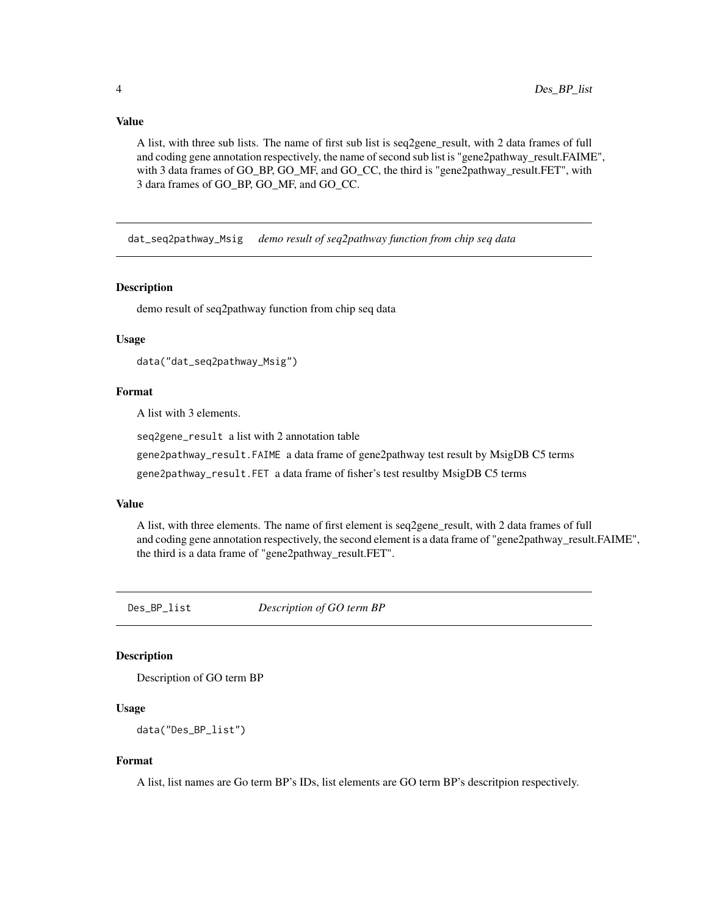<span id="page-3-0"></span>A list, with three sub lists. The name of first sub list is seq2gene\_result, with 2 data frames of full and coding gene annotation respectively, the name of second sub list is "gene2pathway\_result.FAIME", with 3 data frames of GO\_BP, GO\_MF, and GO\_CC, the third is "gene2pathway\_result.FET", with 3 dara frames of GO\_BP, GO\_MF, and GO\_CC.

dat\_seq2pathway\_Msig *demo result of seq2pathway function from chip seq data*

#### Description

demo result of seq2pathway function from chip seq data

#### Usage

```
data("dat_seq2pathway_Msig")
```
#### Format

A list with 3 elements.

seq2gene\_result a list with 2 annotation table

gene2pathway\_result.FAIME a data frame of gene2pathway test result by MsigDB C5 terms

gene2pathway\_result.FET a data frame of fisher's test resultby MsigDB C5 terms

## Value

A list, with three elements. The name of first element is seq2gene\_result, with 2 data frames of full and coding gene annotation respectively, the second element is a data frame of "gene2pathway\_result.FAIME", the third is a data frame of "gene2pathway\_result.FET".

Des\_BP\_list *Description of GO term BP*

#### **Description**

Description of GO term BP

## Usage

data("Des\_BP\_list")

#### Format

A list, list names are Go term BP's IDs, list elements are GO term BP's descritpion respectively.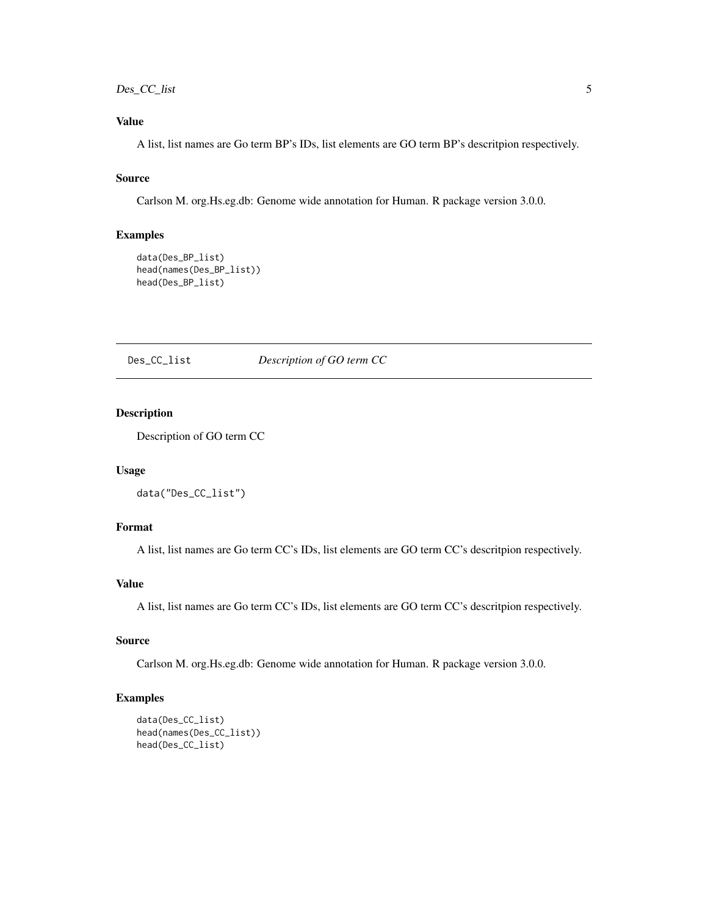# <span id="page-4-0"></span>Des\_CC\_list 5

# Value

A list, list names are Go term BP's IDs, list elements are GO term BP's descritpion respectively.

# Source

Carlson M. org.Hs.eg.db: Genome wide annotation for Human. R package version 3.0.0.

# Examples

```
data(Des_BP_list)
head(names(Des_BP_list))
head(Des_BP_list)
```
#### Des\_CC\_list *Description of GO term CC*

# Description

Description of GO term CC

# Usage

```
data("Des_CC_list")
```
# Format

A list, list names are Go term CC's IDs, list elements are GO term CC's descritpion respectively.

## Value

A list, list names are Go term CC's IDs, list elements are GO term CC's descritpion respectively.

# Source

Carlson M. org.Hs.eg.db: Genome wide annotation for Human. R package version 3.0.0.

## Examples

```
data(Des_CC_list)
head(names(Des_CC_list))
head(Des_CC_list)
```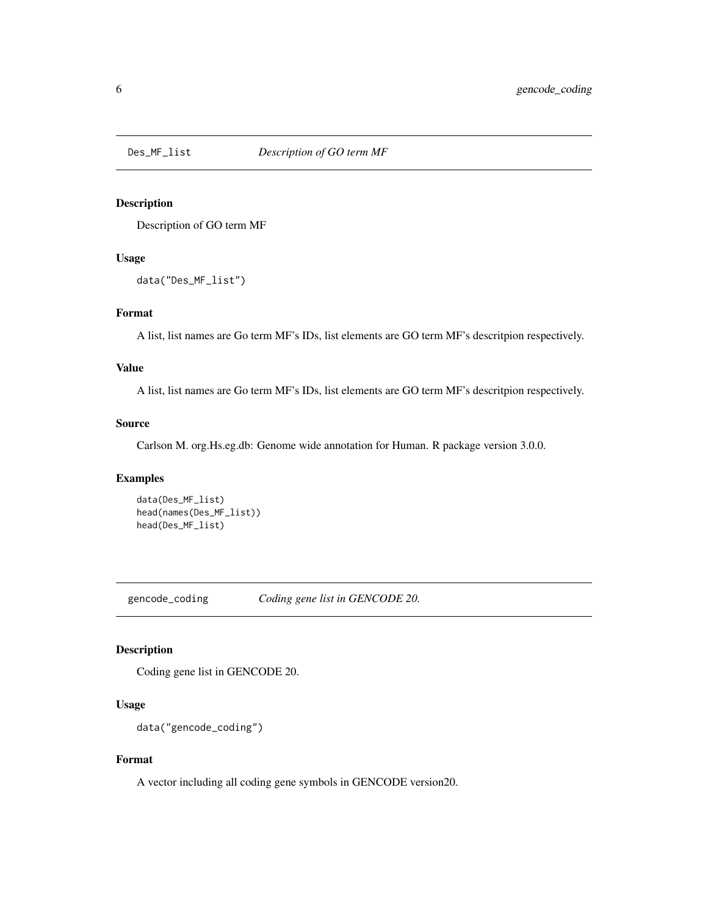<span id="page-5-0"></span>

# Description

Description of GO term MF

#### Usage

data("Des\_MF\_list")

## Format

A list, list names are Go term MF's IDs, list elements are GO term MF's descritpion respectively.

## Value

A list, list names are Go term MF's IDs, list elements are GO term MF's descritpion respectively.

#### Source

Carlson M. org.Hs.eg.db: Genome wide annotation for Human. R package version 3.0.0.

#### Examples

```
data(Des_MF_list)
head(names(Des_MF_list))
head(Des_MF_list)
```
gencode\_coding *Coding gene list in GENCODE 20.*

## Description

Coding gene list in GENCODE 20.

# Usage

```
data("gencode_coding")
```
## Format

A vector including all coding gene symbols in GENCODE version20.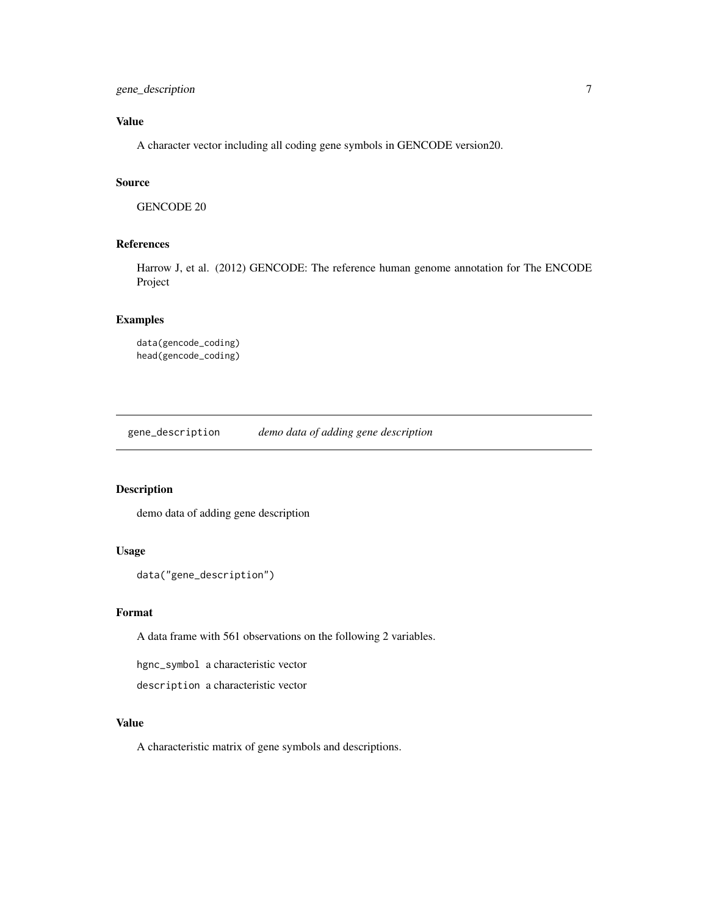<span id="page-6-0"></span>A character vector including all coding gene symbols in GENCODE version20.

#### Source

GENCODE 20

## References

Harrow J, et al. (2012) GENCODE: The reference human genome annotation for The ENCODE Project

## Examples

data(gencode\_coding) head(gencode\_coding)

gene\_description *demo data of adding gene description*

# Description

demo data of adding gene description

#### Usage

```
data("gene_description")
```
#### Format

A data frame with 561 observations on the following 2 variables.

hgnc\_symbol a characteristic vector

description a characteristic vector

#### Value

A characteristic matrix of gene symbols and descriptions.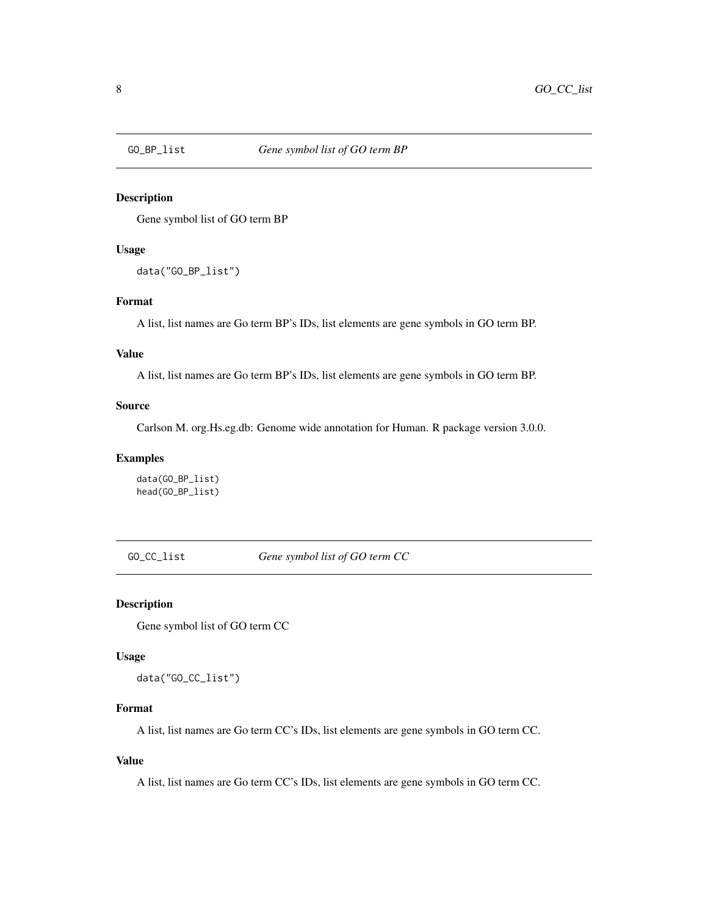<span id="page-7-0"></span>

## Description

Gene symbol list of GO term BP

#### Usage

data("GO\_BP\_list")

#### Format

A list, list names are Go term BP's IDs, list elements are gene symbols in GO term BP.

#### Value

A list, list names are Go term BP's IDs, list elements are gene symbols in GO term BP.

## Source

Carlson M. org.Hs.eg.db: Genome wide annotation for Human. R package version 3.0.0.

## Examples

data(GO\_BP\_list) head(GO\_BP\_list)

GO\_CC\_list *Gene symbol list of GO term CC*

## Description

Gene symbol list of GO term CC

#### Usage

data("GO\_CC\_list")

# Format

A list, list names are Go term CC's IDs, list elements are gene symbols in GO term CC.

## Value

A list, list names are Go term CC's IDs, list elements are gene symbols in GO term CC.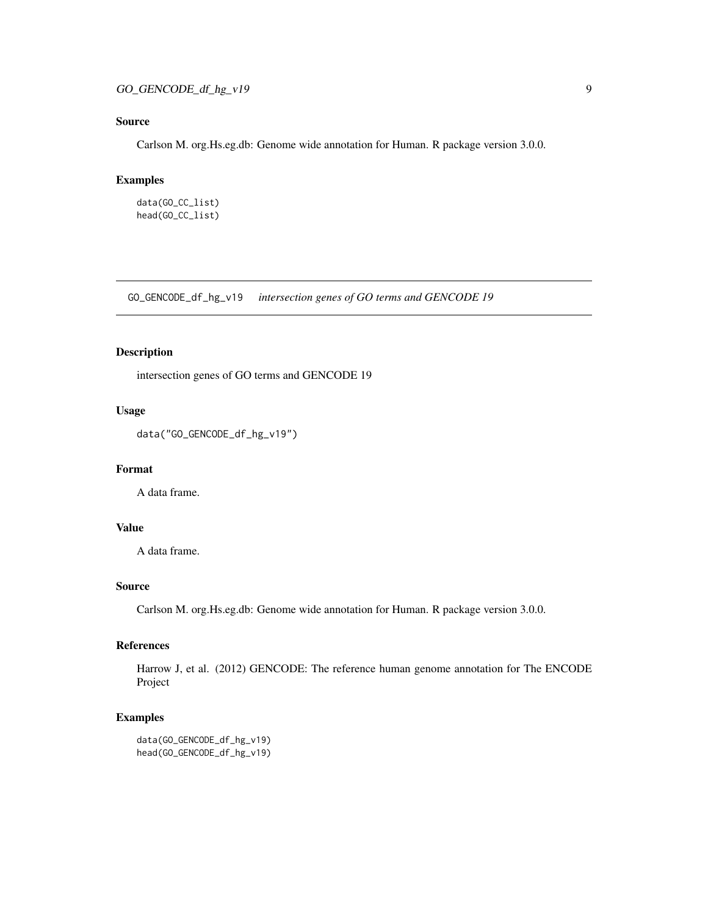# <span id="page-8-0"></span>Source

Carlson M. org.Hs.eg.db: Genome wide annotation for Human. R package version 3.0.0.

## Examples

```
data(GO_CC_list)
head(GO_CC_list)
```
GO\_GENCODE\_df\_hg\_v19 *intersection genes of GO terms and GENCODE 19*

# Description

intersection genes of GO terms and GENCODE 19

#### Usage

```
data("GO_GENCODE_df_hg_v19")
```
#### Format

A data frame.

# Value

A data frame.

## Source

Carlson M. org.Hs.eg.db: Genome wide annotation for Human. R package version 3.0.0.

# References

Harrow J, et al. (2012) GENCODE: The reference human genome annotation for The ENCODE Project

# Examples

```
data(GO_GENCODE_df_hg_v19)
head(GO_GENCODE_df_hg_v19)
```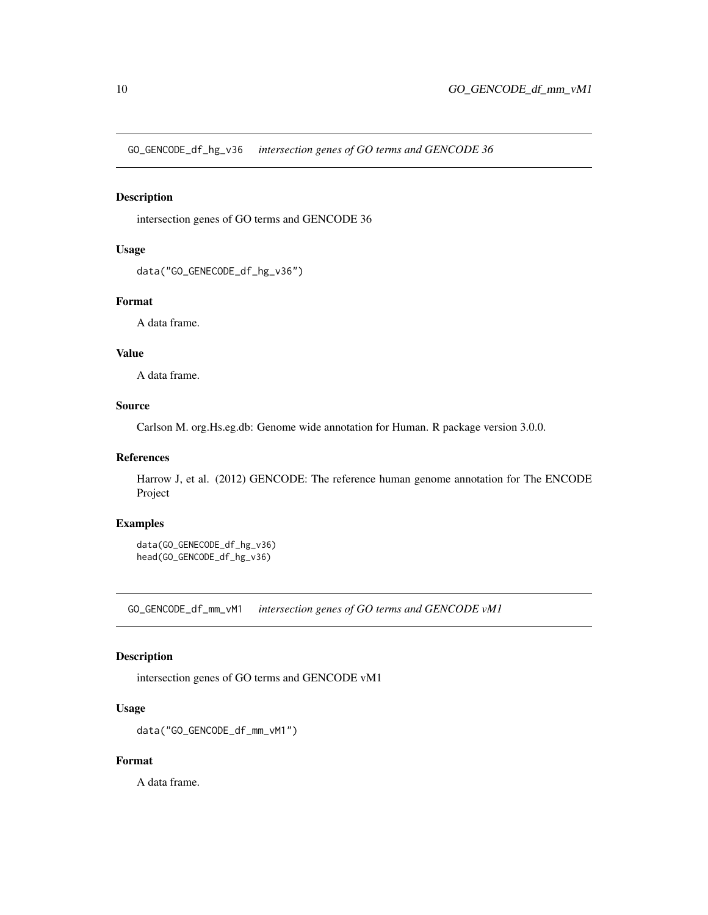<span id="page-9-0"></span>GO\_GENCODE\_df\_hg\_v36 *intersection genes of GO terms and GENCODE 36*

## Description

intersection genes of GO terms and GENCODE 36

#### Usage

data("GO\_GENECODE\_df\_hg\_v36")

# Format

A data frame.

#### Value

A data frame.

# Source

Carlson M. org.Hs.eg.db: Genome wide annotation for Human. R package version 3.0.0.

## References

Harrow J, et al. (2012) GENCODE: The reference human genome annotation for The ENCODE Project

# Examples

data(GO\_GENECODE\_df\_hg\_v36) head(GO\_GENCODE\_df\_hg\_v36)

GO\_GENCODE\_df\_mm\_vM1 *intersection genes of GO terms and GENCODE vM1*

## Description

intersection genes of GO terms and GENCODE vM1

#### Usage

```
data("GO_GENCODE_df_mm_vM1")
```
# Format

A data frame.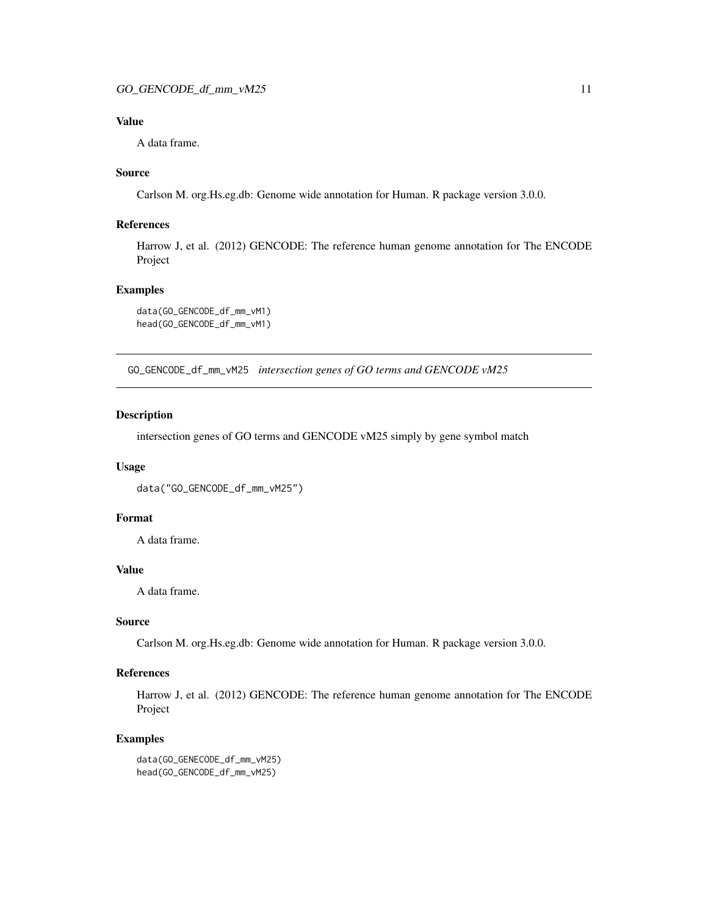<span id="page-10-0"></span>A data frame.

## Source

Carlson M. org.Hs.eg.db: Genome wide annotation for Human. R package version 3.0.0.

#### References

Harrow J, et al. (2012) GENCODE: The reference human genome annotation for The ENCODE Project

#### Examples

```
data(GO_GENCODE_df_mm_vM1)
head(GO_GENCODE_df_mm_vM1)
```
GO\_GENCODE\_df\_mm\_vM25 *intersection genes of GO terms and GENCODE vM25*

## Description

intersection genes of GO terms and GENCODE vM25 simply by gene symbol match

#### Usage

```
data("GO_GENCODE_df_mm_vM25")
```
#### Format

A data frame.

#### Value

A data frame.

#### Source

Carlson M. org.Hs.eg.db: Genome wide annotation for Human. R package version 3.0.0.

## References

Harrow J, et al. (2012) GENCODE: The reference human genome annotation for The ENCODE Project

## Examples

data(GO\_GENECODE\_df\_mm\_vM25) head(GO\_GENCODE\_df\_mm\_vM25)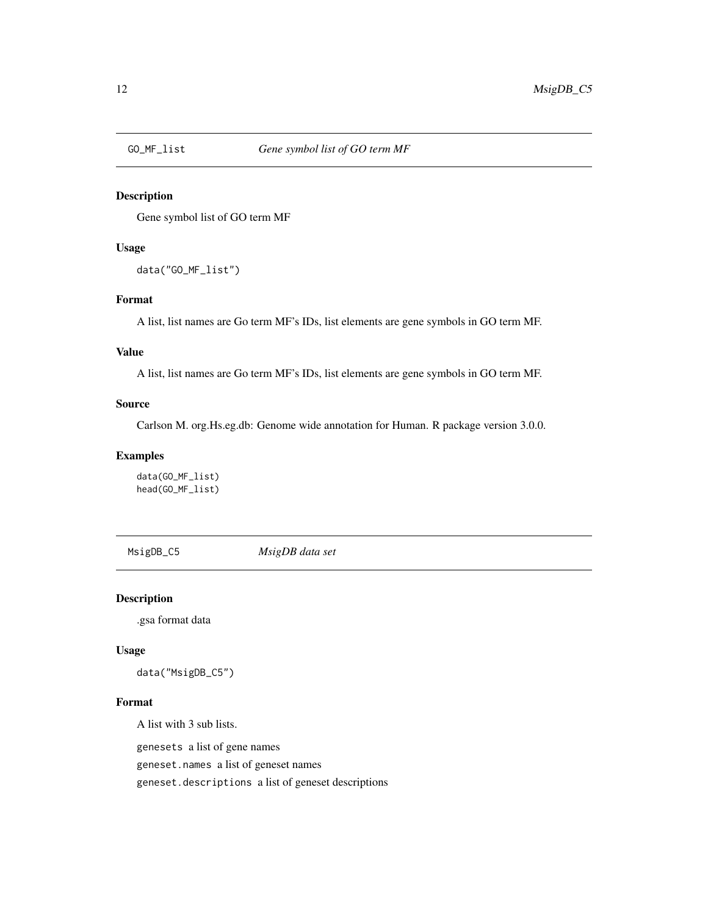<span id="page-11-0"></span>

# Description

Gene symbol list of GO term MF

# Usage

data("GO\_MF\_list")

# Format

A list, list names are Go term MF's IDs, list elements are gene symbols in GO term MF.

## Value

A list, list names are Go term MF's IDs, list elements are gene symbols in GO term MF.

## Source

Carlson M. org.Hs.eg.db: Genome wide annotation for Human. R package version 3.0.0.

#### Examples

data(GO\_MF\_list) head(GO\_MF\_list)

MsigDB\_C5 *MsigDB data set*

#### Description

.gsa format data

#### Usage

data("MsigDB\_C5")

# Format

A list with 3 sub lists.

genesets a list of gene names

geneset.names a list of geneset names

geneset.descriptions a list of geneset descriptions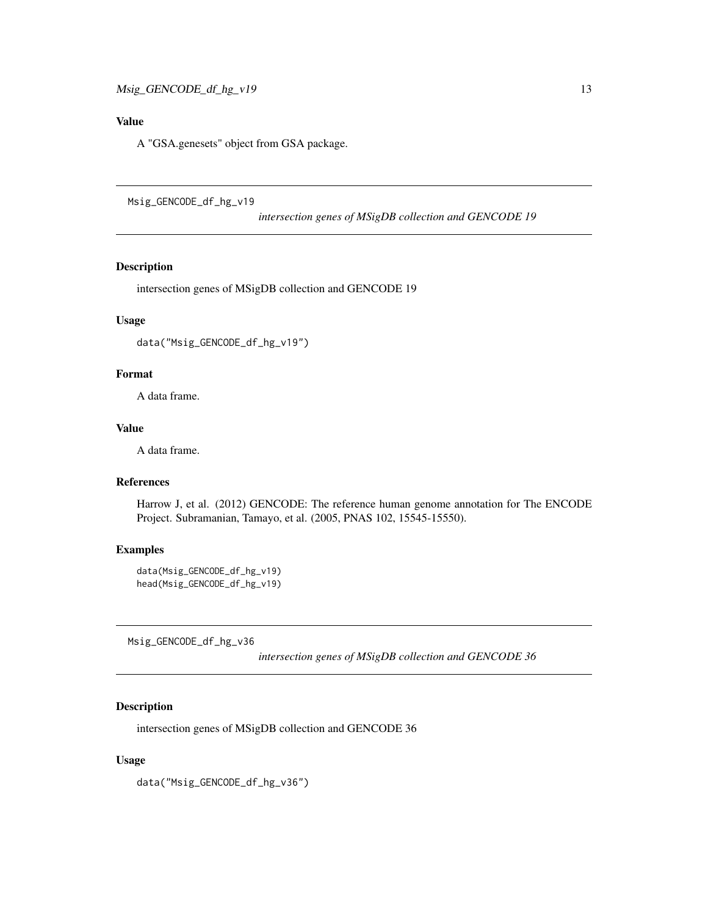<span id="page-12-0"></span>A "GSA.genesets" object from GSA package.

Msig\_GENCODE\_df\_hg\_v19

*intersection genes of MSigDB collection and GENCODE 19*

# Description

intersection genes of MSigDB collection and GENCODE 19

## Usage

```
data("Msig_GENCODE_df_hg_v19")
```
## Format

A data frame.

#### Value

A data frame.

# References

Harrow J, et al. (2012) GENCODE: The reference human genome annotation for The ENCODE Project. Subramanian, Tamayo, et al. (2005, PNAS 102, 15545-15550).

# Examples

```
data(Msig_GENCODE_df_hg_v19)
head(Msig_GENCODE_df_hg_v19)
```
Msig\_GENCODE\_df\_hg\_v36

*intersection genes of MSigDB collection and GENCODE 36*

# Description

intersection genes of MSigDB collection and GENCODE 36

#### Usage

data("Msig\_GENCODE\_df\_hg\_v36")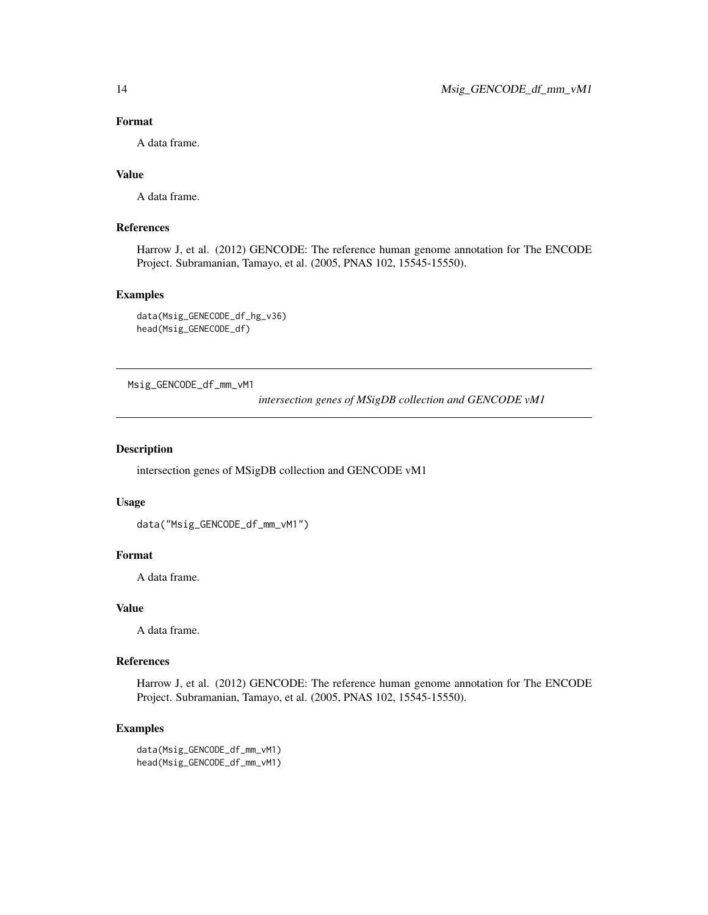## Format

A data frame.

# Value

A data frame.

# References

Harrow J, et al. (2012) GENCODE: The reference human genome annotation for The ENCODE Project. Subramanian, Tamayo, et al. (2005, PNAS 102, 15545-15550).

#### Examples

```
data(Msig_GENECODE_df_hg_v36)
head(Msig_GENECODE_df)
```
Msig\_GENCODE\_df\_mm\_vM1

*intersection genes of MSigDB collection and GENCODE vM1*

# Description

intersection genes of MSigDB collection and GENCODE vM1

#### Usage

```
data("Msig_GENCODE_df_mm_vM1")
```
## Format

A data frame.

# Value

A data frame.

## References

Harrow J, et al. (2012) GENCODE: The reference human genome annotation for The ENCODE Project. Subramanian, Tamayo, et al. (2005, PNAS 102, 15545-15550).

## Examples

data(Msig\_GENCODE\_df\_mm\_vM1) head(Msig\_GENCODE\_df\_mm\_vM1)

<span id="page-13-0"></span>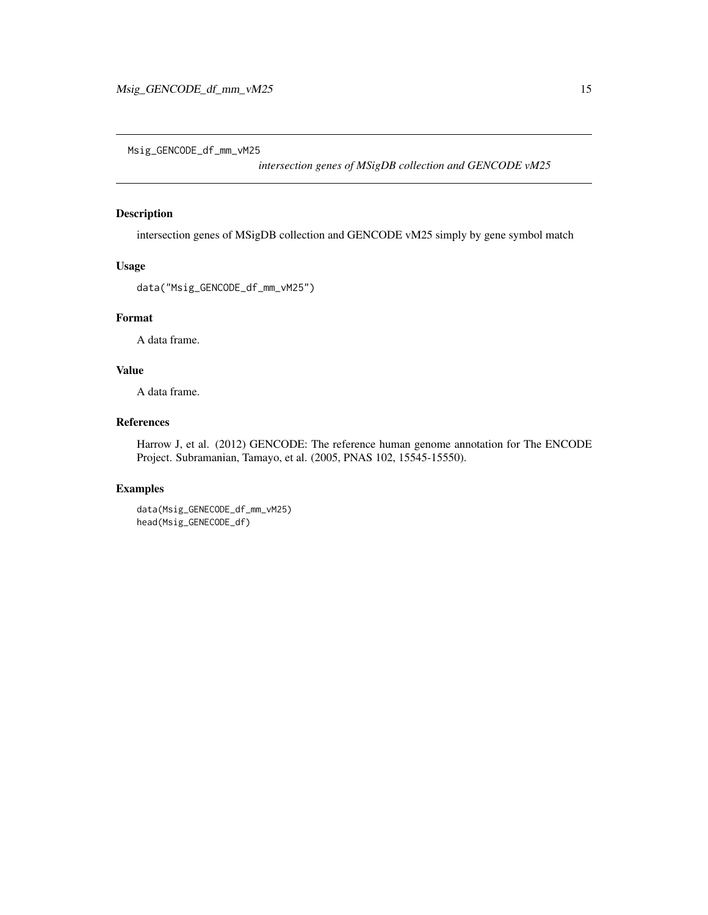<span id="page-14-0"></span>Msig\_GENCODE\_df\_mm\_vM25

*intersection genes of MSigDB collection and GENCODE vM25*

# Description

intersection genes of MSigDB collection and GENCODE vM25 simply by gene symbol match

# Usage

data("Msig\_GENCODE\_df\_mm\_vM25")

# Format

A data frame.

# Value

A data frame.

# References

Harrow J, et al. (2012) GENCODE: The reference human genome annotation for The ENCODE Project. Subramanian, Tamayo, et al. (2005, PNAS 102, 15545-15550).

# Examples

data(Msig\_GENECODE\_df\_mm\_vM25) head(Msig\_GENECODE\_df)